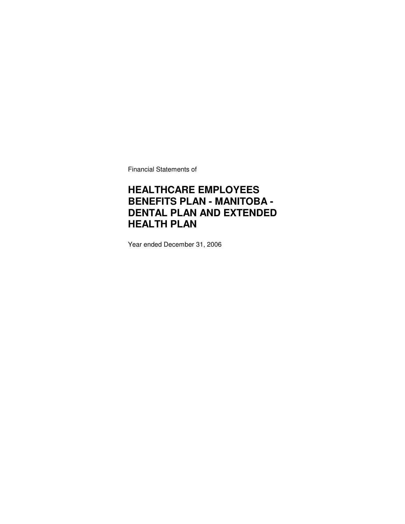Financial Statements of

## **HEALTHCARE EMPLOYEES BENEFITS PLAN - MANITOBA - DENTAL PLAN AND EXTENDED HEALTH PLAN**

Year ended December 31, 2006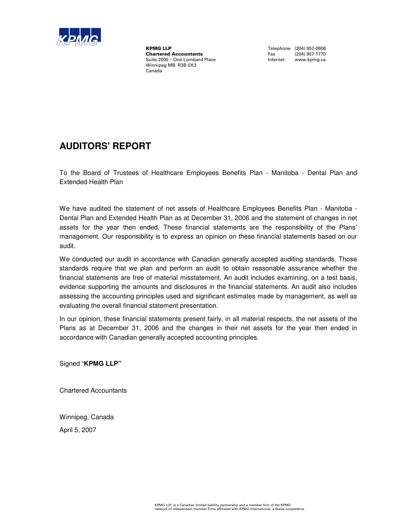

KPMG LLP<br>
Chartered Accountants<br>
Chartered Accountants<br>
Tax (204) 957-1770 **Chartered Accountants**<br>Suite 2000 - One Lombard Place Winnipeg MB R3B 0X3 Canada

Internet www.kpmg.ca

## **AUDITORS' REPORT**

To the Board of Trustees of Healthcare Employees Benefits Plan - Manitoba - Dental Plan and Extended Health Plan

We have audited the statement of net assets of Healthcare Employees Benefits Plan - Manitoba -Dental Plan and Extended Health Plan as at December 31, 2006 and the statement of changes in net assets for the year then ended. These financial statements are the responsibility of the Plans' management. Our responsibility is to express an opinion on these financial statements based on our audit.

We conducted our audit in accordance with Canadian generally accepted auditing standards. Those standards require that we plan and perform an audit to obtain reasonable assurance whether the financial statements are free of material misstatement. An audit includes examining, on a test basis, evidence supporting the amounts and disclosures in the financial statements. An audit also includes assessing the accounting principles used and significant estimates made by management, as well as evaluating the overall financial statement presentation.

In our opinion, these financial statements present fairly, in all material respects, the net assets of the Plans as at December 31, 2006 and the changes in their net assets for the year then ended in accordance with Canadian generally accepted accounting principles.

Signed "**KPMG LLP"**

Chartered Accountants

Winnipeg, Canada

April 5, 2007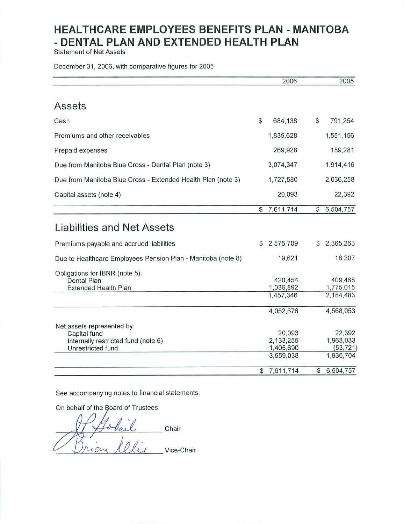**Statement of Net Assets** 

December 31, 2006, with comparative figures for 2005

|                                                                                                        |    | 2006                                          |    | 2005                                          |
|--------------------------------------------------------------------------------------------------------|----|-----------------------------------------------|----|-----------------------------------------------|
|                                                                                                        |    |                                               |    |                                               |
| Assets                                                                                                 |    |                                               |    |                                               |
| Cash                                                                                                   | \$ | 684.138                                       | \$ | 791,254                                       |
| Premiums and other receivables                                                                         |    | 1,835,628                                     |    | 1,551,156                                     |
| Prepaid expenses                                                                                       |    | 269,928                                       |    | 189,281                                       |
| Due from Manitoba Blue Cross - Dental Plan (note 3)                                                    |    | 3,074,347                                     |    | 1,914,416                                     |
| Due from Manitoba Blue Cross - Extended Health Plan (note 3)                                           |    | 1,727,580                                     |    | 2,036,258                                     |
| Capital assets (note 4)                                                                                |    | 20,093                                        |    | 22,392                                        |
|                                                                                                        | \$ | 7,611,714                                     | \$ | 6,504,757                                     |
| <b>Liabilities and Net Assets</b>                                                                      |    |                                               |    |                                               |
| Premiums payable and accrued liabilities                                                               | S  | 2,575,709                                     | \$ | 2,365,263                                     |
| Due to Healthcare Employees Pension Plan - Manitoba (note 8)                                           |    | 19,621                                        |    | 18,307                                        |
| Obligations for IBNR (note 5):<br>Dental Plan<br><b>Extended Health Plan</b>                           |    | 420,454<br>1,036,892<br>1,457,346             |    | 409,468<br>1,775,015<br>2,184,483             |
|                                                                                                        |    | 4,052,676                                     |    | 4,568,053                                     |
| Net assets represented by:<br>Capital fund<br>Internally restricted fund (note 6)<br>Unrestricted fund |    | 20,093<br>2.133,255<br>1,405,690<br>3,559,038 |    | 22,392<br>1,968,033<br>(53, 721)<br>1,936,704 |
|                                                                                                        |    | \$7,611,714                                   | S  | 6,504,757                                     |

See accompanying notes to financial statements.

On behalf of the Board of Trustees:

Chair rian Celis Vice-Chair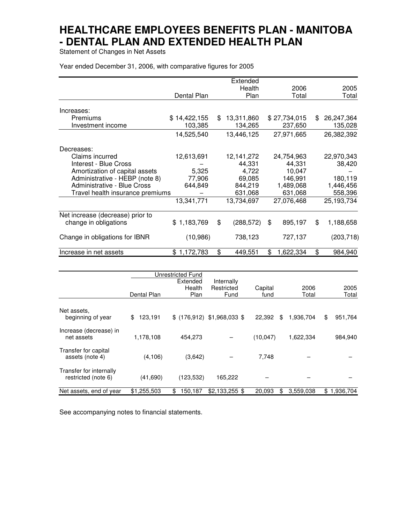Statement of Changes in Net Assets

Year ended December 31, 2006, with comparative figures for 2005

|                                    |              | Extended         |                 |     |            |
|------------------------------------|--------------|------------------|-----------------|-----|------------|
|                                    |              | Health           | 2006            |     | 2005       |
|                                    | Dental Plan  | Plan             | Total           |     | Total      |
|                                    |              |                  |                 |     |            |
| Increases:                         |              |                  |                 |     |            |
| <b>Premiums</b>                    | \$14,422,155 | \$<br>13,311,860 | \$27,734,015    | \$. | 26,247,364 |
| Investment income                  | 103,385      | 134,265          | 237,650         |     | 135,028    |
|                                    | 14,525,540   | 13,446,125       | 27,971,665      |     | 26,382,392 |
| Decreases:                         |              |                  |                 |     |            |
| Claims incurred                    | 12,613,691   | 12, 141, 272     | 24,754,963      |     | 22,970,343 |
| Interest - Blue Cross              |              | 44,331           | 44,331          |     | 38,420     |
| Amortization of capital assets     | 5,325        | 4,722            | 10,047          |     |            |
| Administrative - HEBP (note 8)     | 77,906       | 69,085           | 146,991         |     | 180,119    |
| <b>Administrative - Blue Cross</b> | 644,849      | 844,219          | 1,489,068       |     | 1,446,456  |
| Travel health insurance premiums   |              | 631,068          | 631,068         |     | 558,396    |
|                                    | 13,341,771   | 13,734,697       | 27,076,468      |     | 25,193,734 |
| Net increase (decrease) prior to   |              |                  |                 |     |            |
| change in obligations              | \$1,183,769  | \$<br>(288, 572) | \$<br>895,197   | \$  | 1,188,658  |
| Change in obligations for IBNR     | (10, 986)    | 738,123          | 727,137         |     | (203, 718) |
| Increase in net assets             | \$1,172,783  | \$<br>449,551    | \$<br>1,622,334 | \$  | 984,940    |

|                                                |               | Unrestricted Fund |                              |              |           |                 |
|------------------------------------------------|---------------|-------------------|------------------------------|--------------|-----------|-----------------|
|                                                |               | Extended          | Internally                   |              |           |                 |
|                                                |               | Health            | Restricted                   | Capital      | 2006      | 2005            |
|                                                | Dental Plan   | Plan              | Fund                         | fund         | Total     | Total           |
|                                                |               |                   |                              |              |           |                 |
| Net assets.<br>beginning of year               | \$<br>123,191 |                   | $$$ (176,912) \$1,968,033 \$ | 22,392<br>\$ | 1,936,704 | \$<br>951,764   |
| Increase (decrease) in<br>net assets           | 1,178,108     | 454,273           |                              | (10, 047)    | 1,622,334 | 984,940         |
| Transfer for capital<br>assets (note 4)        | (4, 106)      | (3,642)           |                              | 7,748        |           |                 |
| Transfer for internally<br>restricted (note 6) | (41,690)      | (123, 532)        | 165,222                      |              |           |                 |
| Net assets, end of year                        | \$1,255,503   | 150,187<br>\$     | $$2.133.255$ \$              | 20.093<br>\$ | 3.559.038 | 1.936.704<br>\$ |

See accompanying notes to financial statements.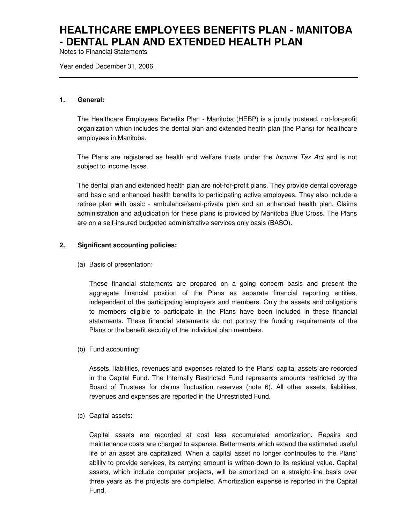Notes to Financial Statements

Year ended December 31, 2006

#### **1. General:**

The Healthcare Employees Benefits Plan - Manitoba (HEBP) is a jointly trusteed, not-for-profit organization which includes the dental plan and extended health plan (the Plans) for healthcare employees in Manitoba.

The Plans are registered as health and welfare trusts under the *Income Tax Act* and is not subject to income taxes.

The dental plan and extended health plan are not-for-profit plans. They provide dental coverage and basic and enhanced health benefits to participating active employees. They also include a retiree plan with basic - ambulance/semi-private plan and an enhanced health plan. Claims administration and adjudication for these plans is provided by Manitoba Blue Cross. The Plans are on a self-insured budgeted administrative services only basis (BASO).

### **2. Significant accounting policies:**

(a) Basis of presentation:

These financial statements are prepared on a going concern basis and present the aggregate financial position of the Plans as separate financial reporting entities, independent of the participating employers and members. Only the assets and obligations to members eligible to participate in the Plans have been included in these financial statements. These financial statements do not portray the funding requirements of the Plans or the benefit security of the individual plan members.

(b) Fund accounting:

Assets, liabilities, revenues and expenses related to the Plans' capital assets are recorded in the Capital Fund. The Internally Restricted Fund represents amounts restricted by the Board of Trustees for claims fluctuation reserves (note 6). All other assets, liabilities, revenues and expenses are reported in the Unrestricted Fund.

(c) Capital assets:

Capital assets are recorded at cost less accumulated amortization. Repairs and maintenance costs are charged to expense. Betterments which extend the estimated useful life of an asset are capitalized. When a capital asset no longer contributes to the Plans' ability to provide services, its carrying amount is written-down to its residual value. Capital assets, which include computer projects, will be amortized on a straight-line basis over three years as the projects are completed. Amortization expense is reported in the Capital Fund.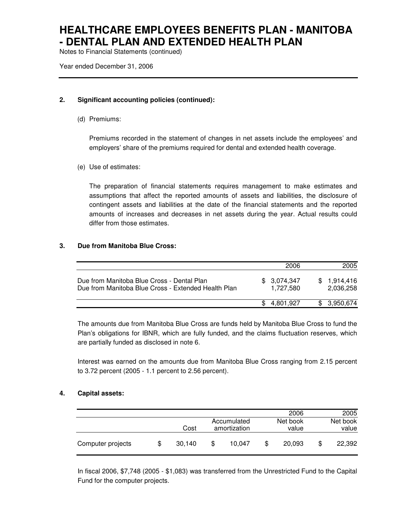Notes to Financial Statements (continued)

Year ended December 31, 2006

### **2. Significant accounting policies (continued):**

(d) Premiums:

Premiums recorded in the statement of changes in net assets include the employees' and employers' share of the premiums required for dental and extended health coverage.

(e) Use of estimates:

The preparation of financial statements requires management to make estimates and assumptions that affect the reported amounts of assets and liabilities, the disclosure of contingent assets and liabilities at the date of the financial statements and the reported amounts of increases and decreases in net assets during the year. Actual results could differ from those estimates.

### **3. Due from Manitoba Blue Cross:**

|                                                                                                   | 2006                     | 2005                   |
|---------------------------------------------------------------------------------------------------|--------------------------|------------------------|
| Due from Manitoba Blue Cross - Dental Plan<br>Due from Manitoba Blue Cross - Extended Health Plan | \$3,074,347<br>1.727.580 | 1.914.416<br>2,036,258 |
|                                                                                                   | 4.801.927                | \$3,950,674            |

The amounts due from Manitoba Blue Cross are funds held by Manitoba Blue Cross to fund the Plan's obligations for IBNR, which are fully funded, and the claims fluctuation reserves, which are partially funded as disclosed in note 6.

Interest was earned on the amounts due from Manitoba Blue Cross ranging from 2.15 percent to 3.72 percent (2005 - 1.1 percent to 2.56 percent).

### **4. Capital assets:**

|                   |              |                             | 2006              |   | 2005              |
|-------------------|--------------|-----------------------------|-------------------|---|-------------------|
|                   | Cost         | Accumulated<br>amortization | Net book<br>value |   | Net book<br>value |
| Computer projects | \$<br>30,140 | 10.047                      | 20,093            | S | 22,392            |

In fiscal 2006, \$7,748 (2005 - \$1,083) was transferred from the Unrestricted Fund to the Capital Fund for the computer projects.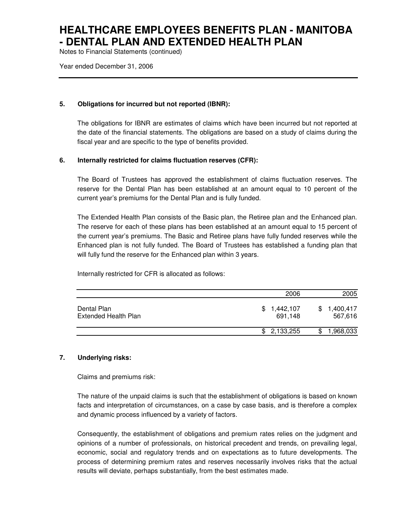Notes to Financial Statements (continued)

Year ended December 31, 2006

### **5. Obligations for incurred but not reported (IBNR):**

The obligations for IBNR are estimates of claims which have been incurred but not reported at the date of the financial statements. The obligations are based on a study of claims during the fiscal year and are specific to the type of benefits provided.

### **6. Internally restricted for claims fluctuation reserves (CFR):**

The Board of Trustees has approved the establishment of claims fluctuation reserves. The reserve for the Dental Plan has been established at an amount equal to 10 percent of the current year's premiums for the Dental Plan and is fully funded.

The Extended Health Plan consists of the Basic plan, the Retiree plan and the Enhanced plan. The reserve for each of these plans has been established at an amount equal to 15 percent of the current year's premiums. The Basic and Retiree plans have fully funded reserves while the Enhanced plan is not fully funded. The Board of Trustees has established a funding plan that will fully fund the reserve for the Enhanced plan within 3 years.

Internally restricted for CFR is allocated as follows:

|                                            | 2006                       | 2005                        |
|--------------------------------------------|----------------------------|-----------------------------|
| Dental Plan<br><b>Extended Health Plan</b> | 1,442,107<br>S.<br>691.148 | 1,400,417<br>\$.<br>567,616 |
|                                            | \$2,133,255                | 1,968,033                   |

### **7. Underlying risks:**

Claims and premiums risk:

The nature of the unpaid claims is such that the establishment of obligations is based on known facts and interpretation of circumstances, on a case by case basis, and is therefore a complex and dynamic process influenced by a variety of factors.

Consequently, the establishment of obligations and premium rates relies on the judgment and opinions of a number of professionals, on historical precedent and trends, on prevailing legal, economic, social and regulatory trends and on expectations as to future developments. The process of determining premium rates and reserves necessarily involves risks that the actual results will deviate, perhaps substantially, from the best estimates made.